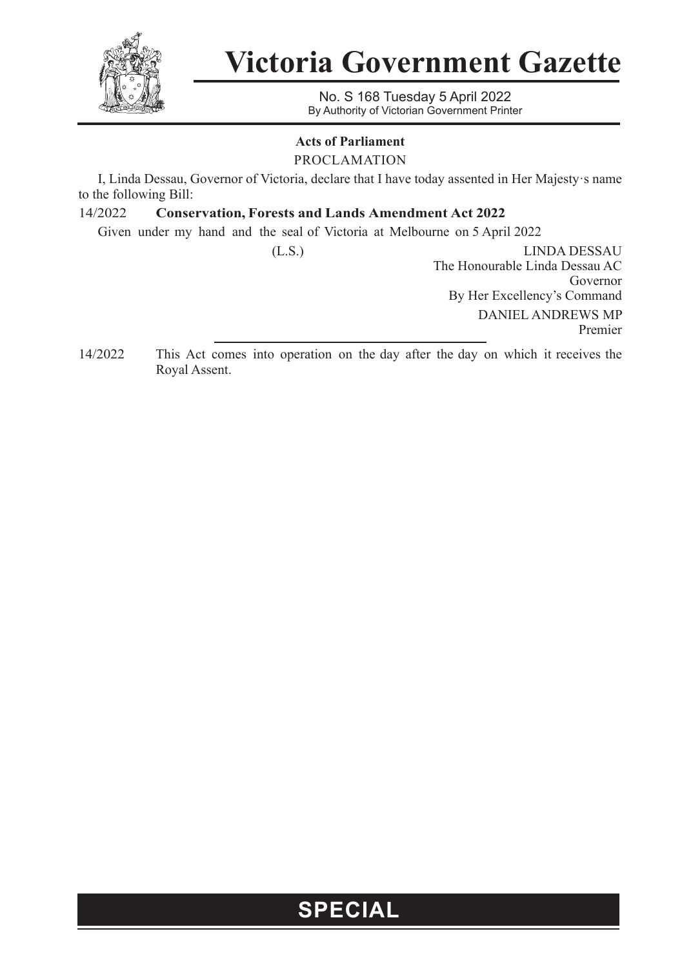

## **Victoria Government Gazette**

No. S 168 Tuesday 5 April 2022 By Authority of Victorian Government Printer

#### **Acts of Parliament**

PROCLAMATION

I, Linda Dessau, Governor of Victoria, declare that I have today assented in Her Majesty·s name to the following Bill:

#### 14/2022 **Conservation, Forests and Lands Amendment Act 2022**

Given under my hand and the seal of Victoria at Melbourne on 5 April 2022

(L.S.) LINDA DESSAU The Honourable Linda Dessau AC Governor By Her Excellency's Command DANIEL ANDREWS MP Premier

14/2022 This Act comes into operation on the day after the day on which it receives the Royal Assent.

### **SPECIAL**